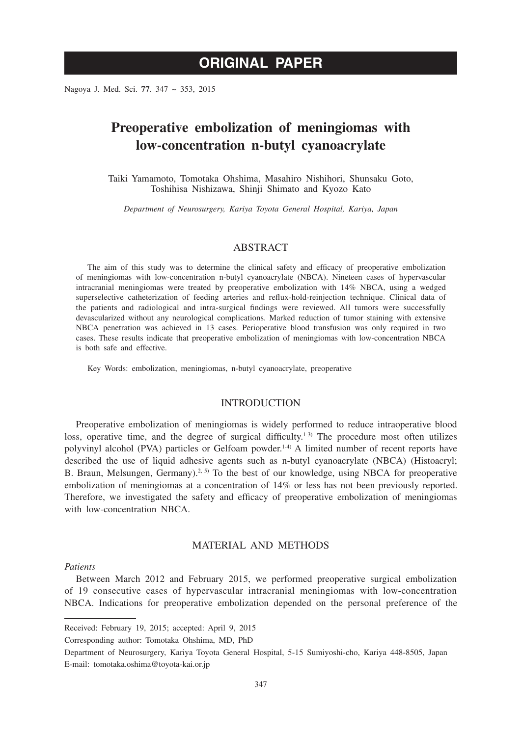# **ORIGINAL PAPER**

Nagoya J. Med. Sci. **77**. 347 ~ 353, 2015

# **Preoperative embolization of meningiomas with low-concentration n-butyl cyanoacrylate**

Taiki Yamamoto, Tomotaka Ohshima, Masahiro Nishihori, Shunsaku Goto, Toshihisa Nishizawa, Shinji Shimato and Kyozo Kato

*Department of Neurosurgery, Kariya Toyota General Hospital, Kariya, Japan*

# ABSTRACT

The aim of this study was to determine the clinical safety and efficacy of preoperative embolization of meningiomas with low-concentration n-butyl cyanoacrylate (NBCA). Nineteen cases of hypervascular intracranial meningiomas were treated by preoperative embolization with 14% NBCA, using a wedged superselective catheterization of feeding arteries and reflux-hold-reinjection technique. Clinical data of the patients and radiological and intra-surgical findings were reviewed. All tumors were successfully devascularized without any neurological complications. Marked reduction of tumor staining with extensive NBCA penetration was achieved in 13 cases. Perioperative blood transfusion was only required in two cases. These results indicate that preoperative embolization of meningiomas with low-concentration NBCA is both safe and effective.

Key Words: embolization, meningiomas, n-butyl cyanoacrylate, preoperative

#### INTRODUCTION

Preoperative embolization of meningiomas is widely performed to reduce intraoperative blood loss, operative time, and the degree of surgical difficulty. $1-3$  The procedure most often utilizes polyvinyl alcohol (PVA) particles or Gelfoam powder.<sup>1-4)</sup> A limited number of recent reports have described the use of liquid adhesive agents such as n-butyl cyanoacrylate (NBCA) (Histoacryl; B. Braun, Melsungen, Germany).<sup>2, 5)</sup> To the best of our knowledge, using NBCA for preoperative embolization of meningiomas at a concentration of 14% or less has not been previously reported. Therefore, we investigated the safety and efficacy of preoperative embolization of meningiomas with low-concentration NBCA.

# MATERIAL AND METHODS

#### *Patients*

Between March 2012 and February 2015, we performed preoperative surgical embolization of 19 consecutive cases of hypervascular intracranial meningiomas with low-concentration NBCA. Indications for preoperative embolization depended on the personal preference of the

Received: February 19, 2015; accepted: April 9, 2015

Corresponding author: Tomotaka Ohshima, MD, PhD

Department of Neurosurgery, Kariya Toyota General Hospital, 5-15 Sumiyoshi-cho, Kariya 448-8505, Japan E-mail: tomotaka.oshima@toyota-kai.or.jp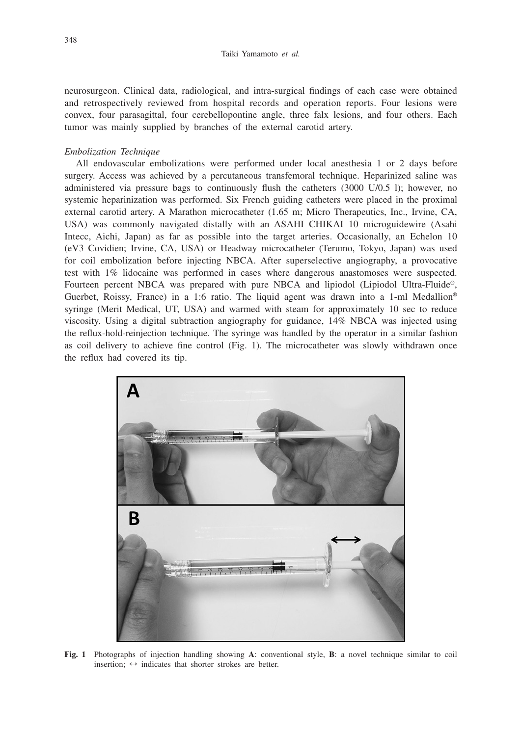neurosurgeon. Clinical data, radiological, and intra-surgical findings of each case were obtained and retrospectively reviewed from hospital records and operation reports. Four lesions were convex, four parasagittal, four cerebellopontine angle, three falx lesions, and four others. Each tumor was mainly supplied by branches of the external carotid artery.

#### *Embolization Technique*

All endovascular embolizations were performed under local anesthesia 1 or 2 days before surgery. Access was achieved by a percutaneous transfemoral technique. Heparinized saline was administered via pressure bags to continuously flush the catheters (3000 U/0.5 l); however, no systemic heparinization was performed. Six French guiding catheters were placed in the proximal external carotid artery. A Marathon microcatheter (1.65 m; Micro Therapeutics, Inc., Irvine, CA, USA) was commonly navigated distally with an ASAHI CHIKAI 10 microguidewire (Asahi Intecc, Aichi, Japan) as far as possible into the target arteries. Occasionally, an Echelon 10 (eV3 Covidien; Irvine, CA, USA) or Headway microcatheter (Terumo, Tokyo, Japan) was used for coil embolization before injecting NBCA. After superselective angiography, a provocative test with 1% lidocaine was performed in cases where dangerous anastomoses were suspected. Fourteen percent NBCA was prepared with pure NBCA and lipiodol (Lipiodol Ultra-Fluide®, Guerbet, Roissy, France) in a 1:6 ratio. The liquid agent was drawn into a 1-ml Medallion<sup>®</sup> syringe (Merit Medical, UT, USA) and warmed with steam for approximately 10 sec to reduce viscosity. Using a digital subtraction angiography for guidance, 14% NBCA was injected using the reflux-hold-reinjection technique. The syringe was handled by the operator in a similar fashion as coil delivery to achieve fine control (Fig. 1). The microcatheter was slowly withdrawn once the reflux had covered its tip.



**Fig. 1** Photographs of injection handling showing **A**: conventional style, **B**: a novel technique similar to coil insertion;  $\leftrightarrow$  indicates that shorter strokes are better.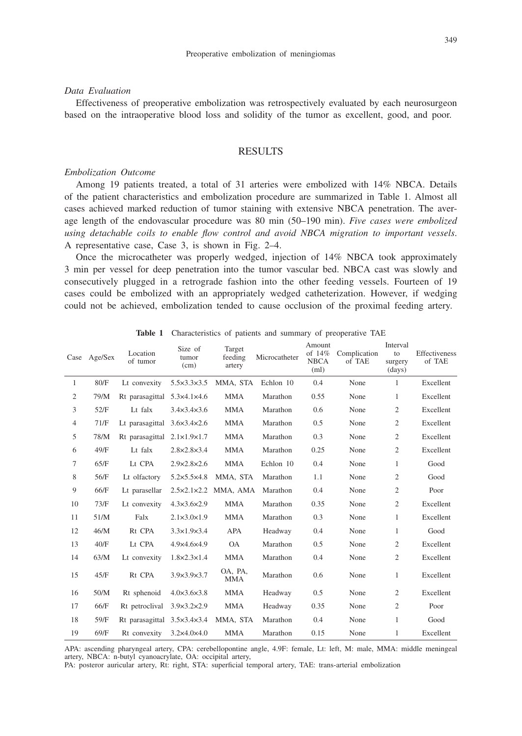#### *Data Evaluation*

Effectiveness of preoperative embolization was retrospectively evaluated by each neurosurgeon based on the intraoperative blood loss and solidity of the tumor as excellent, good, and poor.

## **RESULTS**

## *Embolization Outcome*

Among 19 patients treated, a total of 31 arteries were embolized with 14% NBCA. Details of the patient characteristics and embolization procedure are summarized in Table 1. Almost all cases achieved marked reduction of tumor staining with extensive NBCA penetration. The average length of the endovascular procedure was 80 min (50–190 min). *Five cases were embolized using detachable coils to enable flow control and avoid NBCA migration to important vessels*. A representative case, Case 3, is shown in Fig. 2–4.

Once the microcatheter was properly wedged, injection of 14% NBCA took approximately 3 min per vessel for deep penetration into the tumor vascular bed. NBCA cast was slowly and consecutively plugged in a retrograde fashion into the other feeding vessels. Fourteen of 19 cases could be embolized with an appropriately wedged catheterization. However, if wedging could not be achieved, embolization tended to cause occlusion of the proximal feeding artery.

|                | Case Age/Sex | Location<br>of tumor                        | Size of<br>tumor<br>(cm)    | Target<br>feeding<br>artery | Microcatheter | Amount<br>of $14\%$<br><b>NBCA</b><br>(ml) | Complication<br>of TAE | Interval<br>to<br>surgery<br>(days) | Effectiveness<br>of TAE |
|----------------|--------------|---------------------------------------------|-----------------------------|-----------------------------|---------------|--------------------------------------------|------------------------|-------------------------------------|-------------------------|
| 1              | 80/F         | Lt convexity                                | $5.5 \times 3.3 \times 3.5$ | MMA, STA                    | Echlon 10     | 0.4                                        | None                   | $\mathbf{1}$                        | Excellent               |
| $\overline{2}$ | 79/M         | Rt parasagittal 5.3×4.1×4.6                 |                             | <b>MMA</b>                  | Marathon      | 0.55                                       | None                   | 1                                   | Excellent               |
| 3              | 52/F         | Lt falx                                     | $3.4 \times 3.4 \times 3.6$ | <b>MMA</b>                  | Marathon      | 0.6                                        | None                   | 2                                   | Excellent               |
| $\overline{4}$ | 71/F         | Lt parasagittal $3.6 \times 3.4 \times 2.6$ |                             | <b>MMA</b>                  | Marathon      | 0.5                                        | None                   | 2                                   | Excellent               |
| 5              | 78/M         | Rt parasagittal 2.1×1.9×1.7                 |                             | <b>MMA</b>                  | Marathon      | 0.3                                        | None                   | $\overline{2}$                      | Excellent               |
| 6              | 49/F         | Lt falx                                     | $2.8 \times 2.8 \times 3.4$ | <b>MMA</b>                  | Marathon      | 0.25                                       | None                   | 2                                   | Excellent               |
| 7              | 65/F         | Lt CPA                                      | $2.9 \times 2.8 \times 2.6$ | <b>MMA</b>                  | Echlon 10     | 0.4                                        | None                   | 1                                   | Good                    |
| 8              | 56/F         | Lt olfactory                                | $5.2 \times 5.5 \times 4.8$ | MMA, STA                    | Marathon      | 1.1                                        | None                   | $\overline{2}$                      | Good                    |
| 9              | 66/F         | Lt parasellar                               |                             | 2.5×2.1×2.2 MMA, AMA        | Marathon      | 0.4                                        | None                   | $\mathfrak{2}$                      | Poor                    |
| 10             | 73/F         | Lt convexity                                | $4.3 \times 3.6 \times 2.9$ | <b>MMA</b>                  | Marathon      | 0.35                                       | None                   | $\overline{2}$                      | Excellent               |
| 11             | 51/M         | Falx                                        | $2.1 \times 3.0 \times 1.9$ | <b>MMA</b>                  | Marathon      | 0.3                                        | None                   | 1                                   | Excellent               |
| 12             | 46/M         | Rt CPA                                      | $3.3 \times 1.9 \times 3.4$ | <b>APA</b>                  | Headway       | 0.4                                        | None                   | 1                                   | Good                    |
| 13             | 40/F         | Lt CPA                                      | 4.9×4.6×4.9                 | <b>OA</b>                   | Marathon      | 0.5                                        | None                   | $\overline{2}$                      | Excellent               |
| 14             | 63/M         | Lt convexity                                | $1.8 \times 2.3 \times 1.4$ | <b>MMA</b>                  | Marathon      | 0.4                                        | None                   | $\overline{2}$                      | Excellent               |
| 15             | 45/F         | Rt CPA                                      | $3.9 \times 3.9 \times 3.7$ | OA, PA,<br><b>MMA</b>       | Marathon      | 0.6                                        | None                   | 1                                   | Excellent               |
| 16             | 50/M         | Rt sphenoid                                 | $4.0 \times 3.6 \times 3.8$ | <b>MMA</b>                  | Headway       | 0.5                                        | None                   | $\overline{2}$                      | Excellent               |
| 17             | 66/F         | Rt petroclival                              | $3.9 \times 3.2 \times 2.9$ | <b>MMA</b>                  | Headway       | 0.35                                       | None                   | 2                                   | Poor                    |
| 18             | 59/F         | Rt parasagittal $3.5 \times 3.4 \times 3.4$ |                             | MMA, STA                    | Marathon      | 0.4                                        | None                   | 1                                   | Good                    |
| 19             | 69/F         | Rt convexity                                | $3.2\times4.0\times4.0$     | MMA                         | Marathon      | 0.15                                       | None                   | 1                                   | Excellent               |

**Table 1** Characteristics of patients and summary of preoperative TAE

APA: ascending pharyngeal artery, CPA: cerebellopontine angle, 4.9F: female, Lt: left, M: male, MMA: middle meningeal artery, NBCA: n-butyl cyanoacrylate, OA: occipital artery,

PA: posteror auricular artery, Rt: right, STA: superficial temporal artery, TAE: trans-arterial embolization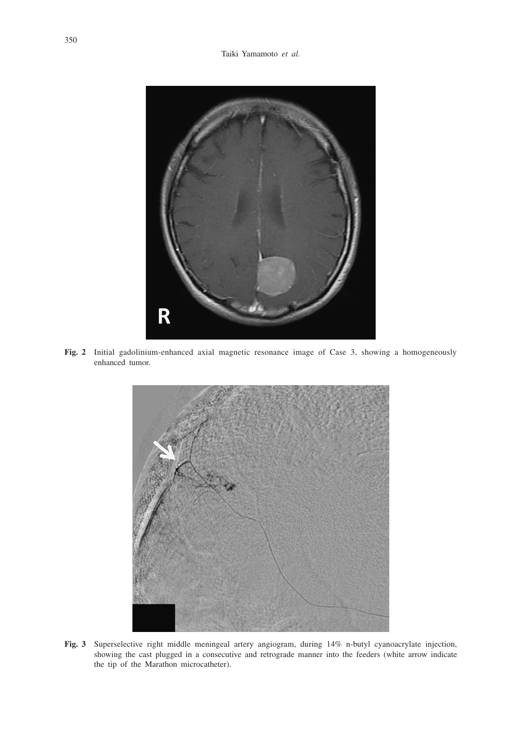

**Fig. 2** Initial gadolinium-enhanced axial magnetic resonance image of Case 3, showing a homogeneously enhanced tumor.



**Fig. 3** Superselective right middle meningeal artery angiogram, during 14% n-butyl cyanoacrylate injection, showing the cast plugged in a consecutive and retrograde manner into the feeders (white arrow indicate the tip of the Marathon microcatheter).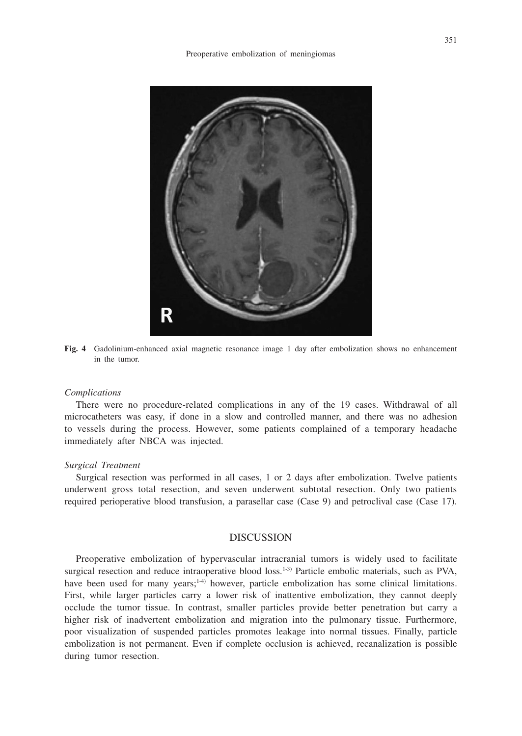

**Fig. 4** Gadolinium-enhanced axial magnetic resonance image 1 day after embolization shows no enhancement in the tumor.

#### *Complications*

There were no procedure-related complications in any of the 19 cases. Withdrawal of all microcatheters was easy, if done in a slow and controlled manner, and there was no adhesion to vessels during the process. However, some patients complained of a temporary headache immediately after NBCA was injected.

## *Surgical Treatment*

Surgical resection was performed in all cases, 1 or 2 days after embolization. Twelve patients underwent gross total resection, and seven underwent subtotal resection. Only two patients required perioperative blood transfusion, a parasellar case (Case 9) and petroclival case (Case 17).

## DISCUSSION

Preoperative embolization of hypervascular intracranial tumors is widely used to facilitate surgical resection and reduce intraoperative blood  $loss<sub>1-3</sub>$  Particle embolic materials, such as PVA, have been used for many years; $1-4$ ) however, particle embolization has some clinical limitations. First, while larger particles carry a lower risk of inattentive embolization, they cannot deeply occlude the tumor tissue. In contrast, smaller particles provide better penetration but carry a higher risk of inadvertent embolization and migration into the pulmonary tissue. Furthermore, poor visualization of suspended particles promotes leakage into normal tissues. Finally, particle embolization is not permanent. Even if complete occlusion is achieved, recanalization is possible during tumor resection.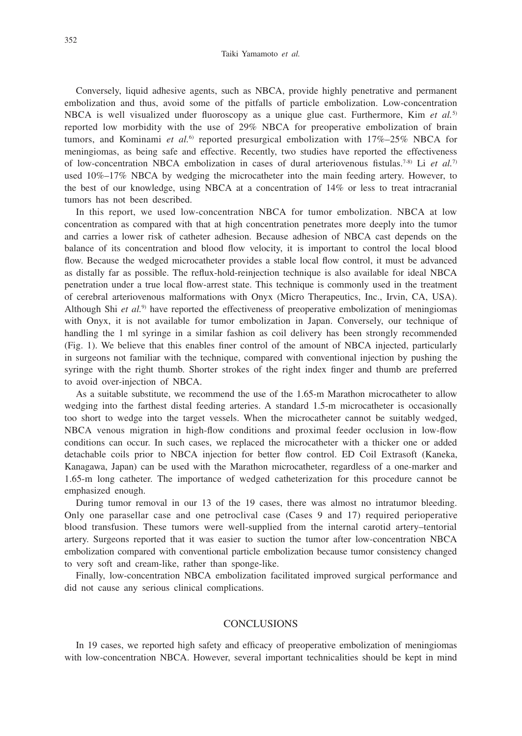Conversely, liquid adhesive agents, such as NBCA, provide highly penetrative and permanent embolization and thus, avoid some of the pitfalls of particle embolization. Low-concentration NBCA is well visualized under fluoroscopy as a unique glue cast. Furthermore, Kim *et al.*5) reported low morbidity with the use of 29% NBCA for preoperative embolization of brain tumors, and Kominami et al.<sup>6)</sup> reported presurgical embolization with 17%-25% NBCA for meningiomas, as being safe and effective. Recently, two studies have reported the effectiveness of low-concentration NBCA embolization in cases of dural arteriovenous fistulas.7-8) Li *et al.*7) used 10%–17% NBCA by wedging the microcatheter into the main feeding artery. However, to the best of our knowledge, using NBCA at a concentration of 14% or less to treat intracranial tumors has not been described.

In this report, we used low-concentration NBCA for tumor embolization. NBCA at low concentration as compared with that at high concentration penetrates more deeply into the tumor and carries a lower risk of catheter adhesion. Because adhesion of NBCA cast depends on the balance of its concentration and blood flow velocity, it is important to control the local blood flow. Because the wedged microcatheter provides a stable local flow control, it must be advanced as distally far as possible. The reflux-hold-reinjection technique is also available for ideal NBCA penetration under a true local flow-arrest state. This technique is commonly used in the treatment of cerebral arteriovenous malformations with Onyx (Micro Therapeutics, Inc., Irvin, CA, USA). Although Shi *et al.*9) have reported the effectiveness of preoperative embolization of meningiomas with Onyx, it is not available for tumor embolization in Japan. Conversely, our technique of handling the 1 ml syringe in a similar fashion as coil delivery has been strongly recommended (Fig. 1). We believe that this enables finer control of the amount of NBCA injected, particularly in surgeons not familiar with the technique, compared with conventional injection by pushing the syringe with the right thumb. Shorter strokes of the right index finger and thumb are preferred to avoid over-injection of NBCA.

As a suitable substitute, we recommend the use of the 1.65-m Marathon microcatheter to allow wedging into the farthest distal feeding arteries. A standard 1.5-m microcatheter is occasionally too short to wedge into the target vessels. When the microcatheter cannot be suitably wedged, NBCA venous migration in high-flow conditions and proximal feeder occlusion in low-flow conditions can occur. In such cases, we replaced the microcatheter with a thicker one or added detachable coils prior to NBCA injection for better flow control. ED Coil Extrasoft (Kaneka, Kanagawa, Japan) can be used with the Marathon microcatheter, regardless of a one-marker and 1.65-m long catheter. The importance of wedged catheterization for this procedure cannot be emphasized enough.

During tumor removal in our 13 of the 19 cases, there was almost no intratumor bleeding. Only one parasellar case and one petroclival case (Cases 9 and 17) required perioperative blood transfusion. These tumors were well-supplied from the internal carotid artery–tentorial artery. Surgeons reported that it was easier to suction the tumor after low-concentration NBCA embolization compared with conventional particle embolization because tumor consistency changed to very soft and cream-like, rather than sponge-like.

Finally, low-concentration NBCA embolization facilitated improved surgical performance and did not cause any serious clinical complications.

## **CONCLUSIONS**

In 19 cases, we reported high safety and efficacy of preoperative embolization of meningiomas with low-concentration NBCA. However, several important technicalities should be kept in mind